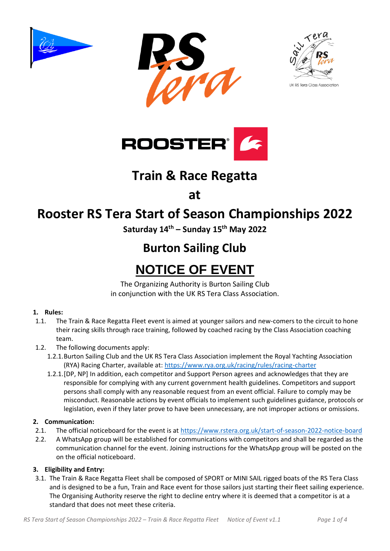







## **Train & Race Regatta**

**at**

## **Rooster RS Tera Start of Season Championships 2022**

**Saturday 14th – Sunday 15 th May 2022**

## **Burton Sailing Club**

# **NOTICE OF EVENT**

The Organizing Authority is Burton Sailing Club in conjunction with the UK RS Tera Class Association.

## **1. Rules:**

- 1.1. The Train & Race Regatta Fleet event is aimed at younger sailors and new-comers to the circuit to hone their racing skills through race training, followed by coached racing by the Class Association coaching team.
- 1.2. The following documents apply:
	- 1.2.1.Burton Sailing Club and the UK RS Tera Class Association implement the Royal Yachting Association (RYA) Racing Charter, available at:<https://www.rya.org.uk/racing/rules/racing-charter>
	- 1.2.1.[DP, NP] In addition, each competitor and Support Person agrees and acknowledges that they are responsible for complying with any current government health guidelines. Competitors and support persons shall comply with any reasonable request from an event official. Failure to comply may be misconduct. Reasonable actions by event officials to implement such guidelines guidance, protocols or legislation, even if they later prove to have been unnecessary, are not improper actions or omissions.

## **2. Communication:**

- 2.1. The official noticeboard for the event is a[t https://www.rstera.org.uk/start-of-season-2022-notice-board](https://www.rstera.org.uk/start-of-season-2022-notice-board)
- 2.2. A WhatsApp group will be established for communications with competitors and shall be regarded as the communication channel for the event. Joining instructions for the WhatsApp group will be posted on the on the official noticeboard.

## **3. Eligibility and Entry:**

3.1. The Train & Race Regatta Fleet shall be composed of SPORT or MINI SAIL rigged boats of the RS Tera Class and is designed to be a fun, Train and Race event for those sailors just starting their fleet sailing experience. The Organising Authority reserve the right to decline entry where it is deemed that a competitor is at a standard that does not meet these criteria.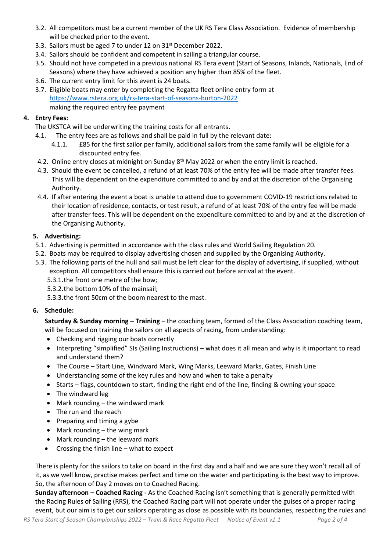- 3.2. All competitors must be a current member of the UK RS Tera Class Association. Evidence of membership will be checked prior to the event.
- 3.3. Sailors must be aged 7 to under 12 on 31st December 2022.
- 3.4. Sailors should be confident and competent in sailing a triangular course.
- 3.5. Should not have competed in a previous national RS Tera event (Start of Seasons, Inlands, Nationals, End of Seasons) where they have achieved a position any higher than 85% of the fleet.
- 3.6. The current entry limit for this event is 24 boats.
- 3.7. Eligible boats may enter by completing the Regatta fleet online entry form at <https://www.rstera.org.uk/rs-tera-start-of-seasons-burton-2022> making the required entry fee payment

### **4. Entry Fees:**

The UKSTCA will be underwriting the training costs for all entrants.

- 4.1. The entry fees are as follows and shall be paid in full by the relevant date:
	- 4.1.1. £85 for the first sailor per family, additional sailors from the same family will be eligible for a discounted entry fee.
- 4.2. Online entry closes at midnight on Sunday 8<sup>th</sup> May 2022 or when the entry limit is reached.
- 4.3. Should the event be cancelled, a refund of at least 70% of the entry fee will be made after transfer fees. This will be dependent on the expenditure committed to and by and at the discretion of the Organising Authority.
- 4.4. If after entering the event a boat is unable to attend due to government COVID-19 restrictions related to their location of residence, contacts, or test result, a refund of at least 70% of the entry fee will be made after transfer fees. This will be dependent on the expenditure committed to and by and at the discretion of the Organising Authority.

## **5. Advertising:**

- 5.1. Advertising is permitted in accordance with the class rules and World Sailing Regulation 20.
- 5.2. Boats may be required to display advertising chosen and supplied by the Organising Authority.
- 5.3. The following parts of the hull and sail must be left clear for the display of advertising, if supplied, without exception. All competitors shall ensure this is carried out before arrival at the event.
	- 5.3.1.the front one metre of the bow;
	- 5.3.2.the bottom 10% of the mainsail;
	- 5.3.3.the front 50cm of the boom nearest to the mast.

## **6. Schedule:**

**Saturday & Sunday morning – Training** – the coaching team, formed of the Class Association coaching team, will be focused on training the sailors on all aspects of racing, from understanding:

- Checking and rigging our boats correctly
- Interpreting "simplified" SIs (Sailing Instructions) what does it all mean and why is it important to read and understand them?
- The Course Start Line, Windward Mark, Wing Marks, Leeward Marks, Gates, Finish Line
- Understanding some of the key rules and how and when to take a penalty
- Starts flags, countdown to start, finding the right end of the line, finding & owning your space
- The windward leg
- Mark rounding the windward mark
- The run and the reach
- Preparing and timing a gybe
- Mark rounding the wing mark
- Mark rounding the leeward mark
- Crossing the finish line what to expect

There is plenty for the sailors to take on board in the first day and a half and we are sure they won't recall all of it, as we well know, practise makes perfect and time on the water and participating is the best way to improve. So, the afternoon of Day 2 moves on to Coached Racing.

**Sunday afternoon – Coached Racing -** As the Coached Racing isn't something that is generally permitted with the Racing Rules of Sailing (RRS), the Coached Racing part will not operate under the guises of a proper racing event, but our aim is to get our sailors operating as close as possible with its boundaries, respecting the rules and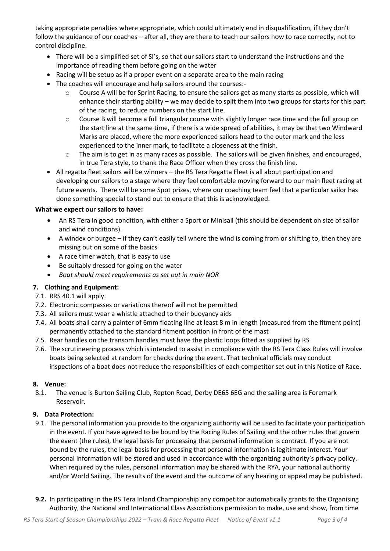taking appropriate penalties where appropriate, which could ultimately end in disqualification, if they don't follow the guidance of our coaches – after all, they are there to teach our sailors how to race correctly, not to control discipline.

- There will be a simplified set of SI's, so that our sailors start to understand the instructions and the importance of reading them before going on the water
- Racing will be setup as if a proper event on a separate area to the main racing
- The coaches will encourage and help sailors around the courses:
	- o Course A will be for Sprint Racing, to ensure the sailors get as many starts as possible, which will enhance their starting ability – we may decide to split them into two groups for starts for this part of the racing, to reduce numbers on the start line.
	- $\circ$  Course B will become a full triangular course with slightly longer race time and the full group on the start line at the same time, if there is a wide spread of abilities, it may be that two Windward Marks are placed, where the more experienced sailors head to the outer mark and the less experienced to the inner mark, to facilitate a closeness at the finish.
	- $\circ$  The aim is to get in as many races as possible. The sailors will be given finishes, and encouraged, in true Tera style, to thank the Race Officer when they cross the finish line.
- All regatta fleet sailors will be winners the RS Tera Regatta Fleet is all about participation and developing our sailors to a stage where they feel comfortable moving forward to our main fleet racing at future events. There will be some Spot prizes, where our coaching team feel that a particular sailor has done something special to stand out to ensure that this is acknowledged.

#### **What we expect our sailors to have:**

- An RS Tera in good condition, with either a Sport or Minisail (this should be dependent on size of sailor and wind conditions).
- A windex or burgee if they can't easily tell where the wind is coming from or shifting to, then they are missing out on some of the basics
- A race timer watch, that is easy to use
- Be suitably dressed for going on the water
- *Boat should meet requirements as set out in main NOR*

### **7. Clothing and Equipment:**

- 7.1. RRS 40.1 will apply.
- 7.2. Electronic compasses or variations thereof will not be permitted
- 7.3. All sailors must wear a whistle attached to their buoyancy aids
- 7.4. All boats shall carry a painter of 6mm floating line at least 8 m in length (measured from the fitment point) permanently attached to the standard fitment position in front of the mast
- 7.5. Rear handles on the transom handles must have the plastic loops fitted as supplied by RS
- 7.6. The scrutineering process which is intended to assist in compliance with the RS Tera Class Rules will involve boats being selected at random for checks during the event. That technical officials may conduct inspections of a boat does not reduce the responsibilities of each competitor set out in this Notice of Race.

#### **8. Venue:**

8.1. The venue is Burton Sailing Club, Repton Road, Derby DE65 6EG and the sailing area is Foremark Reservoir.

### **9. Data Protection:**

- 9.1. The personal information you provide to the organizing authority will be used to facilitate your participation in the event. If you have agreed to be bound by the Racing Rules of Sailing and the other rules that govern the event (the rules), the legal basis for processing that personal information is contract. If you are not bound by the rules, the legal basis for processing that personal information is legitimate interest. Your personal information will be stored and used in accordance with the organizing authority's privacy policy. When required by the rules, personal information may be shared with the RYA, your national authority and/or World Sailing. The results of the event and the outcome of any hearing or appeal may be published.
- **9.2.** In participating in the RS Tera Inland Championship any competitor automatically grants to the Organising Authority, the National and International Class Associations permission to make, use and show, from time